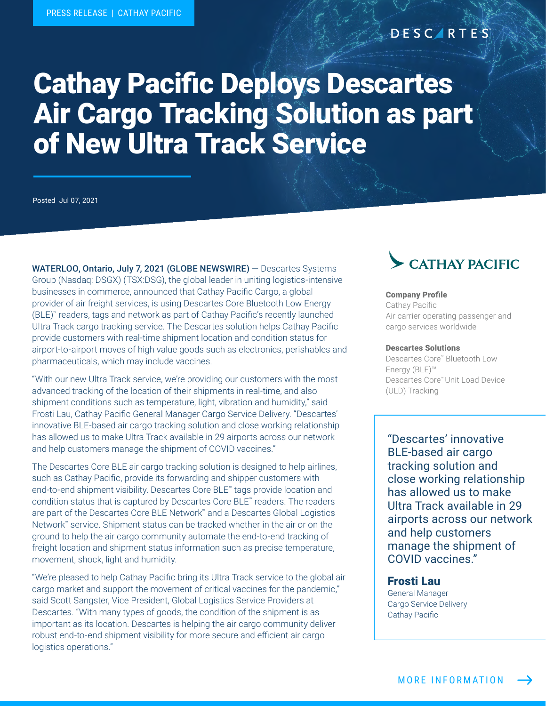### **DESCARTES**

# Cathay Pacific Deploys Descartes Air Cargo Tracking Solution as part of New Ultra Track Service

Posted Jul 07, 2021

WATERLOO, Ontario, July 7, 2021 (GLOBE NEWSWIRE) – Descartes Systems Group (Nasdaq: DSGX) (TSX:DSG), the global leader in uniting logistics-intensive businesses in commerce, announced that Cathay Pacific Cargo, a global provider of air freight services, is using Descartes Core Bluetooth Low Energy (BLE)™ readers, tags and network as part of Cathay Pacific's recently launched Ultra Track cargo tracking service. The Descartes solution helps Cathay Pacific provide customers with real-time shipment location and condition status for airport-to-airport moves of high value goods such as electronics, perishables and pharmaceuticals, which may include vaccines.

"With our new Ultra Track service, we're providing our customers with the most advanced tracking of the location of their shipments in real-time, and also shipment conditions such as temperature, light, vibration and humidity," said Frosti Lau, Cathay Pacific General Manager Cargo Service Delivery. "Descartes' innovative BLE-based air cargo tracking solution and close working relationship has allowed us to make Ultra Track available in 29 airports across our network and help customers manage the shipment of COVID vaccines."

The Descartes Core BLE air cargo tracking solution is designed to help airlines, such as Cathay Pacific, provide its forwarding and shipper customers with end-to-end shipment visibility. Descartes Core BLE™ tags provide location and condition status that is captured by Descartes Core BLE™ readers. The readers are part of the Descartes Core BLE Network™ and a Descartes Global Logistics Network™ service. Shipment status can be tracked whether in the air or on the ground to help the air cargo community automate the end-to-end tracking of freight location and shipment status information such as precise temperature, movement, shock, light and humidity.

"We're pleased to help Cathay Pacific bring its Ultra Track service to the global air cargo market and support the movement of critical vaccines for the pandemic," said Scott Sangster, Vice President, Global Logistics Service Providers at Descartes. "With many types of goods, the condition of the shipment is as important as its location. Descartes is helping the air cargo community deliver robust end-to-end shipment visibility for more secure and efficient air cargo logistics operations."

## CATHAY PACIFIC

#### Company Profile

Cathay Pacific Air carrier operating passenger and cargo services worldwide

#### Descartes Solutions

Descartes Core™ Bluetooth Low Energy (BLE)™ Descartes Core™ Unit Load Device (ULD) Tracking

"Descartes' innovative BLE-based air cargo tracking solution and close working relationship has allowed us to make Ultra Track available in 29 airports across our network and help customers manage the shipment of COVID vaccines."

#### Frosti Lau

General Manager Cargo Service Delivery Cathay Pacific